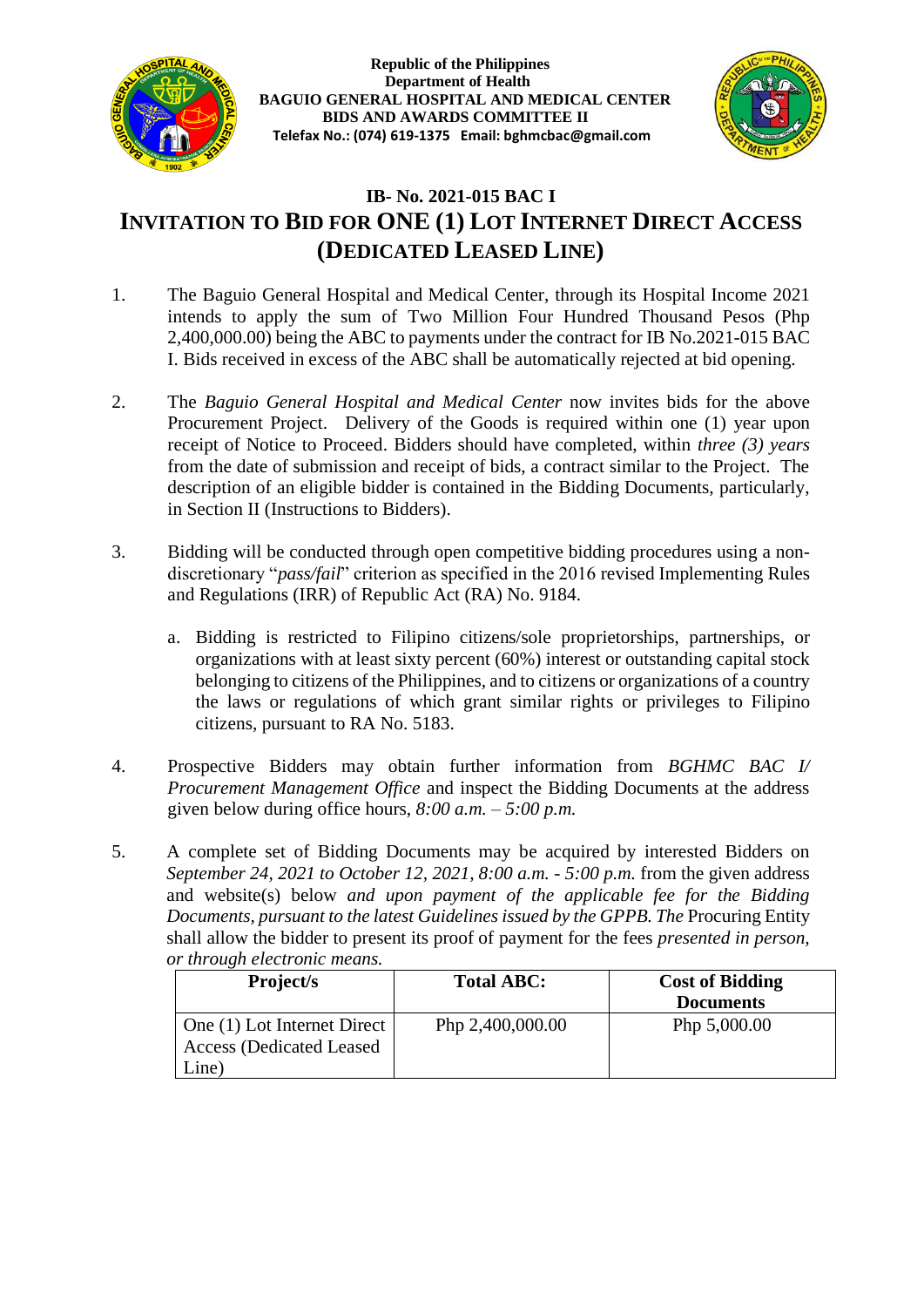

**Republic of the Philippines Department of Health BAGUIO GENERAL HOSPITAL AND MEDICAL CENTER BIDS AND AWARDS COMMITTEE II Telefax No.: (074) 619-1375 Email: bghmcbac@gmail.com**



# **IB- No. 2021-015 BAC I INVITATION TO BID FOR ONE (1) LOT INTERNET DIRECT ACCESS (DEDICATED LEASED LINE)**

- 1. The Baguio General Hospital and Medical Center, through its Hospital Income 2021 intends to apply the sum of Two Million Four Hundred Thousand Pesos (Php 2,400,000.00) being the ABC to payments under the contract for IB No.2021-015 BAC I. Bids received in excess of the ABC shall be automatically rejected at bid opening.
- 2. The *Baguio General Hospital and Medical Center* now invites bids for the above Procurement Project. Delivery of the Goods is required within one (1) year upon receipt of Notice to Proceed. Bidders should have completed, within *three (3) years* from the date of submission and receipt of bids, a contract similar to the Project. The description of an eligible bidder is contained in the Bidding Documents, particularly, in Section II (Instructions to Bidders).
- 3. Bidding will be conducted through open competitive bidding procedures using a nondiscretionary "*pass/fail*" criterion as specified in the 2016 revised Implementing Rules and Regulations (IRR) of Republic Act (RA) No. 9184.
	- a. Bidding is restricted to Filipino citizens/sole proprietorships, partnerships, or organizations with at least sixty percent (60%) interest or outstanding capital stock belonging to citizens of the Philippines, and to citizens or organizations of a country the laws or regulations of which grant similar rights or privileges to Filipino citizens, pursuant to RA No. 5183.
- 4. Prospective Bidders may obtain further information from *BGHMC BAC I/ Procurement Management Office* and inspect the Bidding Documents at the address given below during office hours, *8:00 a.m. – 5:00 p.m.*
- 5. A complete set of Bidding Documents may be acquired by interested Bidders on *September 24, 2021 to October 12, 2021, 8:00 a.m. - 5:00 p.m.* from the given address and website(s) below *and upon payment of the applicable fee for the Bidding Documents, pursuant to the latest Guidelines issued by the GPPB. The* Procuring Entity shall allow the bidder to present its proof of payment for the fees *presented in person, or through electronic means.*

| Project/s                        | Total ABC:       | <b>Cost of Bidding</b> |
|----------------------------------|------------------|------------------------|
|                                  |                  | <b>Documents</b>       |
| One (1) Lot Internet Direct      | Php 2,400,000.00 | Php 5,000.00           |
| <b>Access (Dedicated Leased)</b> |                  |                        |
| Line)                            |                  |                        |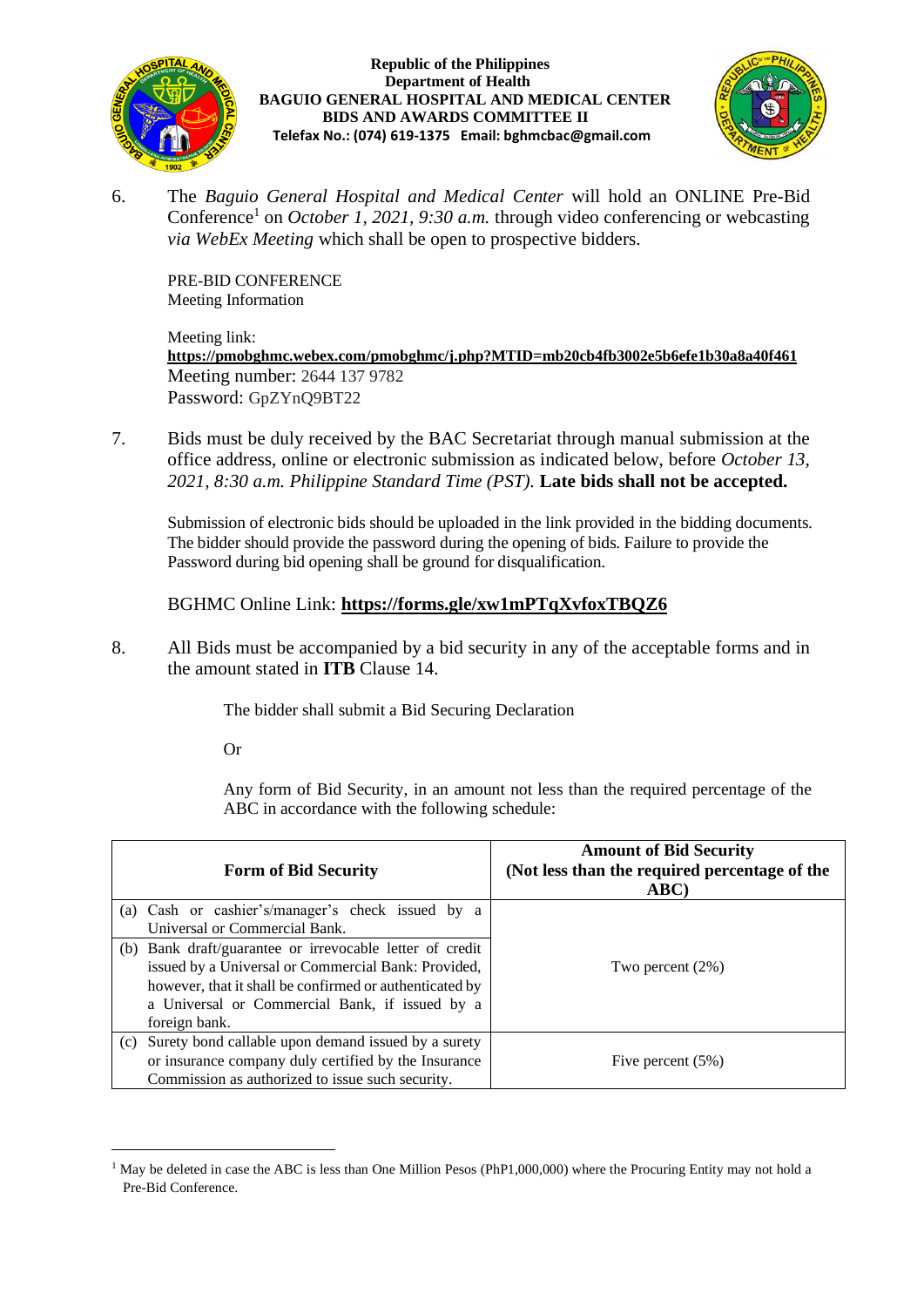

### **Republic of the Philippines Department of Health BAGUIO GENERAL HOSPITAL AND MEDICAL CENTER BIDS AND AWARDS COMMITTEE II Telefax No.: (074) 619-1375 Email: bghmcbac@gmail.com**



6. The *Baguio General Hospital and Medical Center* will hold an ONLINE Pre-Bid Conference<sup>1</sup> on *October 1, 2021, 9:30 a.m.* through video conferencing or webcasting *via WebEx Meeting* which shall be open to prospective bidders.

PRE-BID CONFERENCE Meeting Information

Meeting link: **<https://pmobghmc.webex.com/pmobghmc/j.php?MTID=mb20cb4fb3002e5b6efe1b30a8a40f461>** Meeting number: 2644 137 9782 Password: GpZYnQ9BT22

7. Bids must be duly received by the BAC Secretariat through manual submission at the office address, online or electronic submission as indicated below, before *October 13, 2021, 8:30 a.m. Philippine Standard Time (PST).* **Late bids shall not be accepted.**

Submission of electronic bids should be uploaded in the link provided in the bidding documents. The bidder should provide the password during the opening of bids. Failure to provide the Password during bid opening shall be ground for disqualification.

### BGHMC Online Link: **<https://forms.gle/xw1mPTqXvfoxTBQZ6>**

8. All Bids must be accompanied by a bid security in any of the acceptable forms and in the amount stated in **ITB** Clause 14.

The bidder shall submit a Bid Securing Declaration

Or

Any form of Bid Security, in an amount not less than the required percentage of the ABC in accordance with the following schedule:

|                               | <b>Form of Bid Security</b>                              | <b>Amount of Bid Security</b><br>(Not less than the required percentage of the<br>ABC) |
|-------------------------------|----------------------------------------------------------|----------------------------------------------------------------------------------------|
|                               | (a) Cash or cashier's/manager's check issued by a        |                                                                                        |
| Universal or Commercial Bank. |                                                          |                                                                                        |
|                               | (b) Bank draft/guarantee or irrevocable letter of credit |                                                                                        |
|                               | issued by a Universal or Commercial Bank: Provided,      | Two percent $(2\%)$                                                                    |
|                               | however, that it shall be confirmed or authenticated by  |                                                                                        |
|                               | a Universal or Commercial Bank, if issued by a           |                                                                                        |
|                               | foreign bank.                                            |                                                                                        |
| (c)                           | Surety bond callable upon demand issued by a surety      |                                                                                        |
|                               | or insurance company duly certified by the Insurance     | Five percent $(5\%)$                                                                   |
|                               | Commission as authorized to issue such security.         |                                                                                        |

<sup>&</sup>lt;sup>1</sup> May be deleted in case the ABC is less than One Million Pesos (PhP1,000,000) where the Procuring Entity may not hold a Pre-Bid Conference.